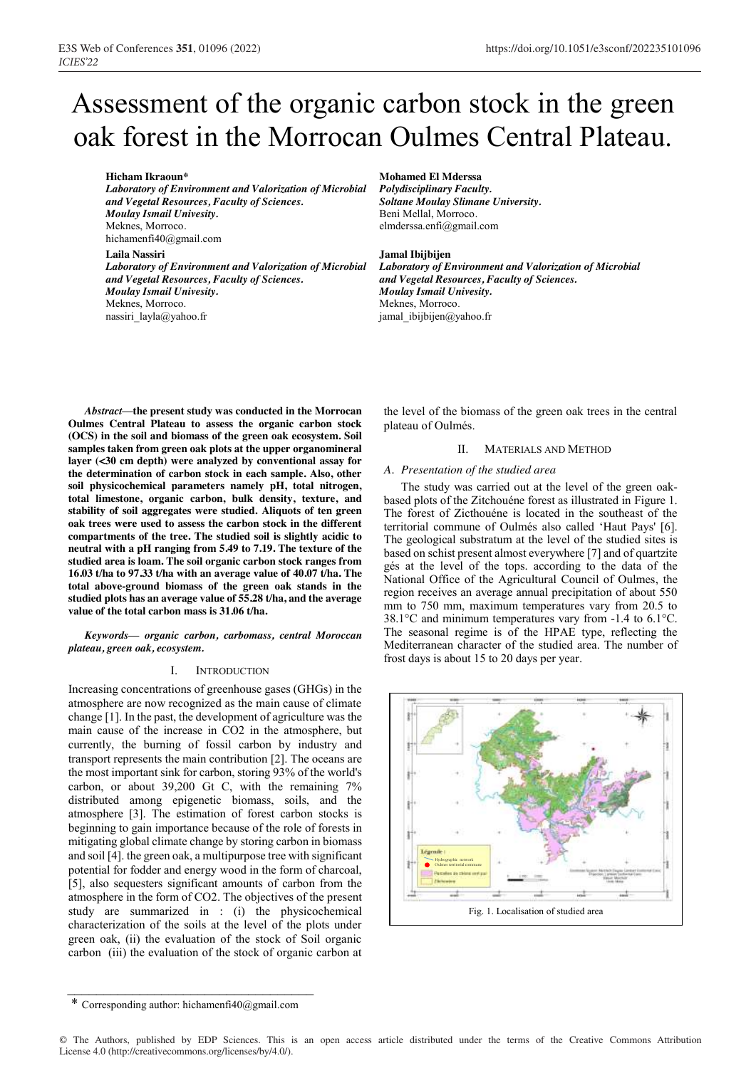# Assessment of the organic carbon stock in the green oak forest in the Morrocan Oulmes Central Plateau.

**Hicham Ikraoun\***

*Laboratory of Environment and Valorization of Microbial and Vegetal Resources, Faculty of Sciences. Moulay Ismail Univesity.* Meknes, Morroco*.* hichamenfi40@gmail.com

#### **Laila Nassiri**

*Laboratory of Environment and Valorization of Microbial and Vegetal Resources, Faculty of Sciences. Moulay Ismail Univesity.* Meknes, Morroco. nassiri\_layla@yahoo.fr

**Mohamed El Mderssa**

*Polydisciplinary Faculty. Soltane Moulay Slimane University.* Beni Mellal, Morroco*.* elmderssa.enfi@gmail.com

#### **Jamal Ibijbijen**

*Laboratory of Environment and Valorization of Microbial and Vegetal Resources, Faculty of Sciences. Moulay Ismail Univesity.* Meknes, Morroco*.* jamal\_ibijbijen@yahoo.fr

*Abstract***—the present study was conducted in the Morrocan Oulmes Central Plateau to assess the organic carbon stock (OCS) in the soil and biomass of the green oak ecosystem. Soil samples taken from green oak plots at the upper organomineral layer (<30 cm depth) were analyzed by conventional assay for the determination of carbon stock in each sample. Also, other soil physicochemical parameters namely pH, total nitrogen, total limestone, organic carbon, bulk density, texture, and stability of soil aggregates were studied. Aliquots of ten green oak trees were used to assess the carbon stock in the different compartments of the tree. The studied soil is slightly acidic to neutral with a pH ranging from 5.49 to 7.19. The texture of the studied area is loam. The soil organic carbon stock ranges from 16.03 t/ha to 97.33 t/ha with an average value of 40.07 t/ha. The total above-ground biomass of the green oak stands in the studied plots has an average value of 55.28 t/ha, and the average value of the total carbon mass is 31.06 t/ha.**

*Keywords— organic carbon, carbomass, central Moroccan plateau, green oak, ecosystem.*

# I. INTRODUCTION

Increasing concentrations of greenhouse gases (GHGs) in the atmosphere are now recognized as the main cause of climate change [1]. In the past, the development of agriculture was the main cause of the increase in CO2 in the atmosphere, but currently, the burning of fossil carbon by industry and transport represents the main contribution [2]. The oceans are the most important sink for carbon, storing 93% of the world's carbon, or about 39,200 Gt C, with the remaining 7% distributed among epigenetic biomass, soils, and the atmosphere [3]. The estimation of forest carbon stocks is beginning to gain importance because of the role of forests in mitigating global climate change by storing carbon in biomass and soil [4]. the green oak, a multipurpose tree with significant potential for fodder and energy wood in the form of charcoal, [5], also sequesters significant amounts of carbon from the atmosphere in the form of CO2. The objectives of the present study are summarized in : (i) the physicochemical characterization of the soils at the level of the plots under green oak, (ii) the evaluation of the stock of Soil organic carbon (iii) the evaluation of the stock of organic carbon at

the level of the biomass of the green oak trees in the central plateau of Oulmés.

## II. MATERIALS AND METHOD

#### *A. Presentation of the studied area*

The study was carried out at the level of the green oakbased plots of the Zitchouéne forest as illustrated in Figure 1. The forest of Zicthouéne is located in the southeast of the territorial commune of Oulmés also called 'Haut Pays' [6]. The geological substratum at the level of the studied sites is based on schist present almost everywhere [7] and of quartzite gés at the level of the tops. according to the data of the National Office of the Agricultural Council of Oulmes, the region receives an average annual precipitation of about 550 mm to 750 mm, maximum temperatures vary from 20.5 to 38.1°C and minimum temperatures vary from -1.4 to 6.1°C. The seasonal regime is of the HPAE type, reflecting the Mediterranean character of the studied area. The number of frost days is about 15 to 20 days per year.



 $\mathcal{L}_\text{max}$  , where  $\mathcal{L}_\text{max}$  and  $\mathcal{L}_\text{max}$  and  $\mathcal{L}_\text{max}$ \* Corresponding author: hichamenfi40@gmail.com

<sup>©</sup> The Authors, published by EDP Sciences. This is an open access article distributed under the terms of the Creative Commons Attribution License 4.0 (http://creativecommons.org/licenses/by/4.0/).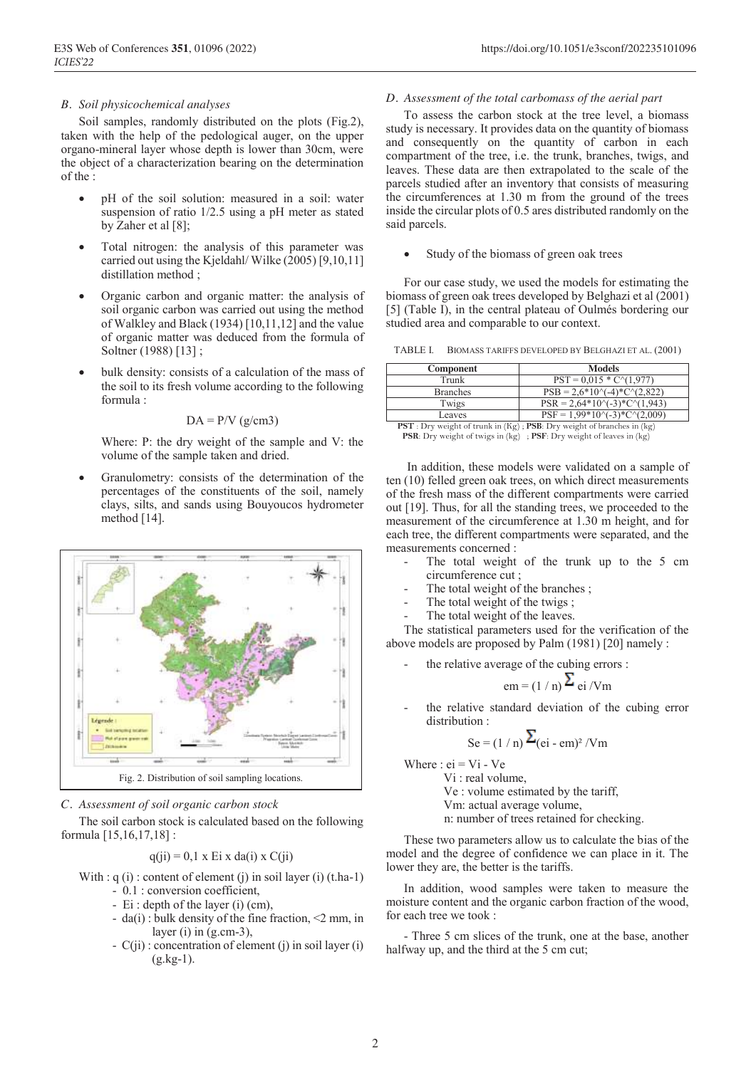## *B. Soil physicochemical analyses*

Soil samples, randomly distributed on the plots (Fig.2), taken with the help of the pedological auger, on the upper organo-mineral layer whose depth is lower than 30cm, were the object of a characterization bearing on the determination of the :

- pH of the soil solution: measured in a soil: water suspension of ratio 1/2.5 using a pH meter as stated by Zaher et al [8];
- Total nitrogen: the analysis of this parameter was carried out using the Kjeldahl/ Wilke (2005) [9,10,11] distillation method ;
- Organic carbon and organic matter: the analysis of soil organic carbon was carried out using the method of Walkley and Black (1934) [10,11,12] and the value of organic matter was deduced from the formula of Soltner (1988) [13] ;
- bulk density: consists of a calculation of the mass of the soil to its fresh volume according to the following formula :

$$
DA = P/V (g/cm3)
$$

Where: P: the dry weight of the sample and V: the volume of the sample taken and dried.

 Granulometry: consists of the determination of the percentages of the constituents of the soil, namely clays, silts, and sands using Bouyoucos hydrometer method [14].



*C. Assessment of soil organic carbon stock*

The soil carbon stock is calculated based on the following formula [15,16,17,18] :

$$
q(i) = 0, 1 \times E i \times da(i) \times C(i)
$$

- With :  $q(i)$  : content of element (j) in soil layer (i) (t.ha-1)
	- 0.1 : conversion coefficient,
	- Ei : depth of the layer (i) (cm),
	- da(i) : bulk density of the fine fraction,  $\leq$  mm, in layer (i) in (g.cm-3),
	- C(ji) : concentration of element (j) in soil layer (i)  $(g.kg-1)$ .

### *D. Assessment of the total carbomass of the aerial part*

To assess the carbon stock at the tree level, a biomass study is necessary. It provides data on the quantity of biomass and consequently on the quantity of carbon in each compartment of the tree, i.e. the trunk, branches, twigs, and leaves. These data are then extrapolated to the scale of the parcels studied after an inventory that consists of measuring the circumferences at 1.30 m from the ground of the trees inside the circular plots of 0.5 ares distributed randomly on the said parcels.

Study of the biomass of green oak trees

For our case study, we used the models for estimating the biomass of green oak trees developed by Belghazi et al (2001) [5] (Table I), in the central plateau of Oulmés bordering our studied area and comparable to our context.

TABLE I. BIOMASS TARIFFS DEVELOPED BY BELGHAZI ET AL. (2001)

| Component       | <b>Models</b>                                  |
|-----------------|------------------------------------------------|
| Trunk           | $PST = 0.015 * C \cdot (1.977)$                |
| <b>Branches</b> | $PSB = 2.6*10\text{(-4)}*C\text{(-2.822)}$     |
| Twigs           | $PSR = 2.64*10^{-2}$ + C <sup>{</sup> (1,943)} |
| Leaves          | $PSF = 1.99*10^{-3}*C^{2}(2.009)$              |
| <b>DOT</b>      |                                                |

**PST** : Dry weight of trunk in (Kg) ; **PSB**: Dry weight of branches in (kg) **PSR**: Dry weight of twigs in (kg) ; **PSF**: Dry weight of leaves in (kg)

In addition, these models were validated on a sample of ten (10) felled green oak trees, on which direct measurements of the fresh mass of the different compartments were carried out [19]. Thus, for all the standing trees, we proceeded to the measurement of the circumference at 1.30 m height, and for each tree, the different compartments were separated, and the measurements concerned :

- The total weight of the trunk up to the 5 cm circumference cut ;
- The total weight of the branches;
- The total weight of the twigs;
- The total weight of the leaves.

The statistical parameters used for the verification of the above models are proposed by Palm (1981) [20] namely :

- the relative average of the cubing errors :  $em = (1/n) \sum$  ei /Vm
- the relative standard deviation of the cubing error distribution :

$$
Se = (1/n)\sum_{(ei - em)^2} /Vm
$$

Where :  $ei = Vi - Ve$ 

 Vi : real volume, Ve : volume estimated by the tariff, Vm: actual average volume,

n: number of trees retained for checking.

These two parameters allow us to calculate the bias of the model and the degree of confidence we can place in it. The lower they are, the better is the tariffs.

In addition, wood samples were taken to measure the moisture content and the organic carbon fraction of the wood, for each tree we took :

- Three 5 cm slices of the trunk, one at the base, another halfway up, and the third at the 5 cm cut;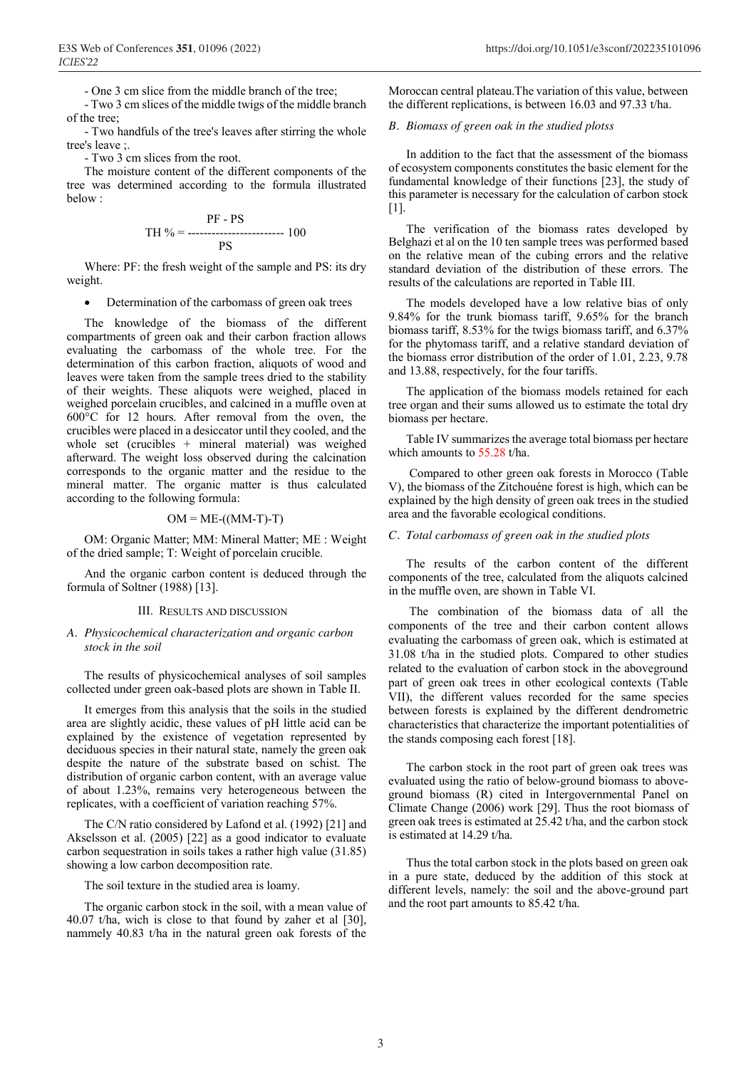- One 3 cm slice from the middle branch of the tree;

- Two 3 cm slices of the middle twigs of the middle branch of the tree;

- Two handfuls of the tree's leaves after stirring the whole tree's leave ;.

- Two 3 cm slices from the root.

The moisture content of the different components of the tree was determined according to the formula illustrated below :

$$
PH % = \begin{array}{r}\n \text{PF - PS} \\
\text{PS} \\
\text{PS}\n \end{array}
$$

Where: PF: the fresh weight of the sample and PS: its dry weight.

• Determination of the carbomass of green oak trees

The knowledge of the biomass of the different compartments of green oak and their carbon fraction allows evaluating the carbomass of the whole tree. For the determination of this carbon fraction, aliquots of wood and leaves were taken from the sample trees dried to the stability of their weights. These aliquots were weighed, placed in weighed porcelain crucibles, and calcined in a muffle oven at 600°C for 12 hours. After removal from the oven, the crucibles were placed in a desiccator until they cooled, and the whole set (crucibles + mineral material) was weighed afterward. The weight loss observed during the calcination corresponds to the organic matter and the residue to the mineral matter. The organic matter is thus calculated according to the following formula:

### $OM = ME-((MM-T)-T)$

OM: Organic Matter; MM: Mineral Matter; ME : Weight of the dried sample; T: Weight of porcelain crucible.

And the organic carbon content is deduced through the formula of Soltner (1988) [13].

#### III. RESULTS AND DISCUSSION

## *A. Physicochemical characterization and organic carbon stock in the soil*

The results of physicochemical analyses of soil samples collected under green oak-based plots are shown in Table II.

It emerges from this analysis that the soils in the studied area are slightly acidic, these values of pH little acid can be explained by the existence of vegetation represented by deciduous species in their natural state, namely the green oak despite the nature of the substrate based on schist. The distribution of organic carbon content, with an average value of about 1.23%, remains very heterogeneous between the replicates, with a coefficient of variation reaching 57%.

The C/N ratio considered by Lafond et al. (1992) [21] and Akselsson et al. (2005) [22] as a good indicator to evaluate carbon sequestration in soils takes a rather high value (31.85) showing a low carbon decomposition rate.

The soil texture in the studied area is loamy.

The organic carbon stock in the soil, with a mean value of 40.07 t/ha, wich is close to that found by zaher et al [30], nammely 40.83 t/ha in the natural green oak forests of the Moroccan central plateau.The variation of this value, between the different replications, is between 16.03 and 97.33 t/ha.

# *B. Biomass of green oak in the studied plotss*

In addition to the fact that the assessment of the biomass of ecosystem components constitutes the basic element for the fundamental knowledge of their functions [23], the study of this parameter is necessary for the calculation of carbon stock  $[1]$ .

The verification of the biomass rates developed by Belghazi et al on the 10 ten sample trees was performed based on the relative mean of the cubing errors and the relative standard deviation of the distribution of these errors. The results of the calculations are reported in Table III.

The models developed have a low relative bias of only 9.84% for the trunk biomass tariff, 9.65% for the branch biomass tariff, 8.53% for the twigs biomass tariff, and 6.37% for the phytomass tariff, and a relative standard deviation of the biomass error distribution of the order of 1.01, 2.23, 9.78 and 13.88, respectively, for the four tariffs.

The application of the biomass models retained for each tree organ and their sums allowed us to estimate the total dry biomass per hectare.

Table IV summarizes the average total biomass per hectare which amounts to 55.28 t/ha.

Compared to other green oak forests in Morocco (Table V), the biomass of the Zitchouéne forest is high, which can be explained by the high density of green oak trees in the studied area and the favorable ecological conditions.

## *C. Total carbomass of green oak in the studied plots*

The results of the carbon content of the different components of the tree, calculated from the aliquots calcined in the muffle oven, are shown in Table VI.

The combination of the biomass data of all the components of the tree and their carbon content allows evaluating the carbomass of green oak, which is estimated at 31.08 t/ha in the studied plots. Compared to other studies related to the evaluation of carbon stock in the aboveground part of green oak trees in other ecological contexts (Table VII), the different values recorded for the same species between forests is explained by the different dendrometric characteristics that characterize the important potentialities of the stands composing each forest [18].

The carbon stock in the root part of green oak trees was evaluated using the ratio of below-ground biomass to aboveground biomass (R) cited in Intergovernmental Panel on Climate Change (2006) work [29]. Thus the root biomass of green oak trees is estimated at 25.42 t/ha, and the carbon stock is estimated at 14.29 t/ha.

Thus the total carbon stock in the plots based on green oak in a pure state, deduced by the addition of this stock at different levels, namely: the soil and the above-ground part and the root part amounts to 85.42 t/ha.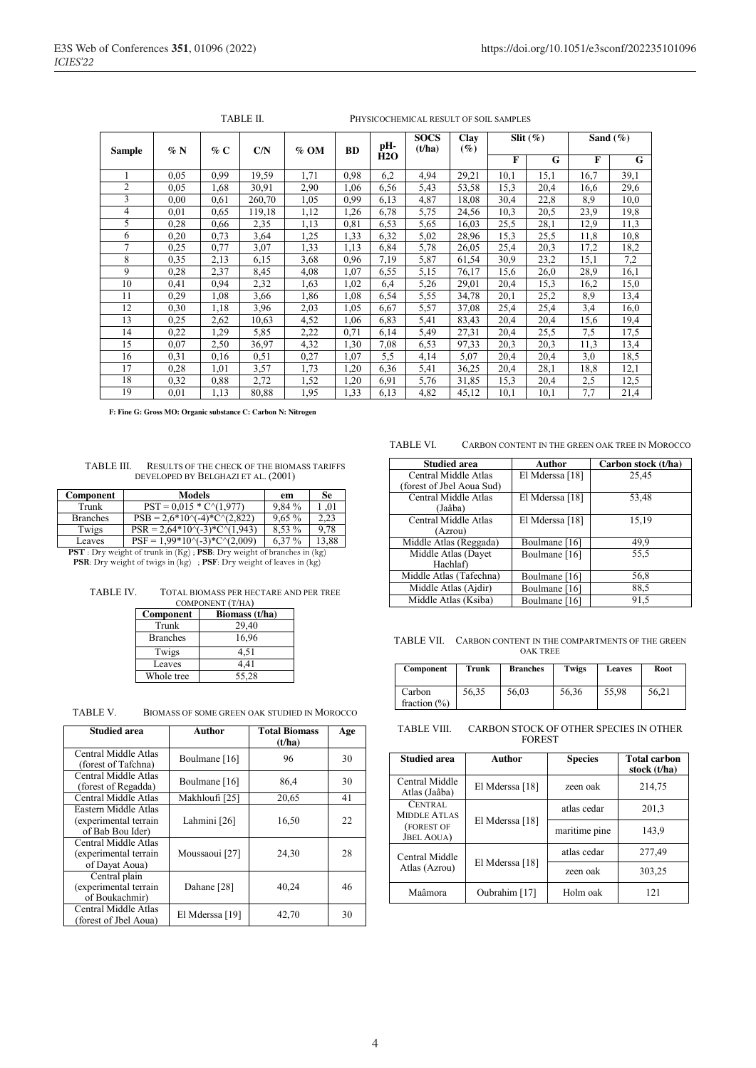| <b>Sample</b>  | $\%$ N | % C  | C/N    | $\%$ OM | <b>BD</b> | pH-  | <b>SOCS</b><br>(t/ha) | Clay<br>$(\%)$ |      | Slit $(\%)$ | Sand $(\%)$ |      |
|----------------|--------|------|--------|---------|-----------|------|-----------------------|----------------|------|-------------|-------------|------|
|                |        |      |        |         |           | H2O  |                       |                | F    | G           | F           | G    |
|                | 0.05   | 0.99 | 19,59  | 1,71    | 0.98      | 6,2  | 4,94                  | 29,21          | 10,1 | 15,1        | 16,7        | 39,1 |
| $\overline{c}$ | 0.05   | 1,68 | 30,91  | 2,90    | 1,06      | 6.56 | 5.43                  | 53,58          | 15,3 | 20,4        | 16,6        | 29,6 |
| 3              | 0,00   | 0.61 | 260,70 | 1,05    | 0.99      | 6,13 | 4,87                  | 18,08          | 30,4 | 22,8        | 8,9         | 10,0 |
| 4              | 0,01   | 0.65 | 119,18 | 1,12    | 1,26      | 6,78 | 5,75                  | 24,56          | 10,3 | 20,5        | 23,9        | 19,8 |
| 5              | 0,28   | 0,66 | 2,35   | 1,13    | 0.81      | 6,53 | 5,65                  | 16,03          | 25,5 | 28,1        | 12,9        | 11,3 |
| 6              | 0,20   | 0.73 | 3,64   | 1,25    | 1,33      | 6,32 | 5,02                  | 28,96          | 15,3 | 25,5        | 11,8        | 10,8 |
| 7              | 0,25   | 0.77 | 3,07   | 1,33    | 1,13      | 6,84 | 5,78                  | 26,05          | 25,4 | 20,3        | 17,2        | 18,2 |
| 8              | 0,35   | 2,13 | 6,15   | 3,68    | 0.96      | 7,19 | 5,87                  | 61,54          | 30,9 | 23,2        | 15,1        | 7,2  |
| 9              | 0,28   | 2,37 | 8,45   | 4,08    | 1,07      | 6,55 | 5,15                  | 76,17          | 15,6 | 26,0        | 28,9        | 16,1 |
| 10             | 0,41   | 0.94 | 2,32   | 1,63    | 1,02      | 6,4  | 5,26                  | 29,01          | 20,4 | 15,3        | 16,2        | 15,0 |
| 11             | 0.29   | 1,08 | 3,66   | 1,86    | 1,08      | 6.54 | 5,55                  | 34,78          | 20,1 | 25,2        | 8,9         | 13,4 |
| 12             | 0,30   | 1,18 | 3.96   | 2,03    | 1,05      | 6.67 | 5,57                  | 37,08          | 25,4 | 25,4        | 3,4         | 16,0 |
| 13             | 0,25   | 2,62 | 10,63  | 4,52    | 1,06      | 6,83 | 5,41                  | 83,43          | 20,4 | 20,4        | 15,6        | 19,4 |
| 14             | 0,22   | 1,29 | 5,85   | 2,22    | 0.71      | 6,14 | 5,49                  | 27,31          | 20,4 | 25.5        | 7,5         | 17,5 |
| 15             | 0,07   | 2,50 | 36,97  | 4,32    | 1,30      | 7,08 | 6,53                  | 97,33          | 20,3 | 20,3        | 11,3        | 13,4 |
| 16             | 0.31   | 0,16 | 0,51   | 0,27    | 1,07      | 5,5  | 4,14                  | 5,07           | 20,4 | 20,4        | 3,0         | 18,5 |
| 17             | 0,28   | 1,01 | 3,57   | 1,73    | 1,20      | 6,36 | 5,41                  | 36,25          | 20,4 | 28,1        | 18,8        | 12,1 |
| 18             | 0,32   | 0.88 | 2,72   | 1,52    | 1,20      | 6,91 | 5,76                  | 31,85          | 15,3 | 20,4        | 2,5         | 12,5 |
| 19             | 0.01   | 1,13 | 80,88  | 1,95    | 1,33      | 6,13 | 4,82                  | 45,12          | 10,1 | 10,1        | 7,7         | 21,4 |

TABLE II. PHYSICOCHEMICAL RESULT OF SOIL SAMPLES

 **F: Fine G: Gross MO: Organic substance C: Carbon N: Nitrogen**

#### TABLE III. RESULTS OF THE CHECK OF THE BIOMASS TARIFFS DEVELOPED BY BELGHAZI ET AL. (2001)

| $PST = 0.015 * C \cdot (1.977)$              | 9.84%    |                                                                                                                                                     |
|----------------------------------------------|----------|-----------------------------------------------------------------------------------------------------------------------------------------------------|
| $PSB = 2.6*10\text{V} - 4)*C\text{V}(2.822)$ | $9.65\%$ |                                                                                                                                                     |
| $PSR = 2.64*10^{-2}$ . $C^{(1)}$             | 8.53 %   | 9 78                                                                                                                                                |
| $PSF = 1.99*10^{-2}$ . $C^{2}(2.009)$        | 6.37 %   | 13.88                                                                                                                                               |
|                                              |          | $\mathbf{DCT}$ . $D_{\text{max}}$ and the efficient in $\langle V, \cdot \rangle$ . $\mathbf{DCD}$ , $D_{\text{max}}$ and the efficient is a finite |

**PST** : Dry weight of trunk in (Kg) ; **PSB**: Dry weight of branches in (kg) **PSR**: Dry weight of twigs in (kg) ; **PSF**: Dry weight of leaves in (kg)

| <b>TABLE IV.</b> | <b>TOTAL BIOMASS PER HECTARE AND PER TREE</b>                                                                   |
|------------------|-----------------------------------------------------------------------------------------------------------------|
|                  | the contract of the contract of the contract of the contract of the contract of the contract of the contract of |

| COMPONENT (T/HA) |                |  |  |  |
|------------------|----------------|--|--|--|
| Component        | Biomass (t/ha) |  |  |  |
| Trunk            | 29,40          |  |  |  |
| <b>Branches</b>  | 16,96          |  |  |  |
| Twigs            | 4,51           |  |  |  |
| Leaves           | 4,41           |  |  |  |
| Whole tree       | 55,28          |  |  |  |

| TABLE V. | BIOMASS OF SOME GREEN OAK STUDIED IN MOROCCO |  |  |  |
|----------|----------------------------------------------|--|--|--|
|----------|----------------------------------------------|--|--|--|

| <b>Studied area</b>                                               | Author                    | <b>Total Biomass</b><br>(t/ha) | Age |
|-------------------------------------------------------------------|---------------------------|--------------------------------|-----|
| Central Middle Atlas<br>(forest of Tafchna)                       | Boulmane [16]             | 96                             | 30  |
| Central Middle Atlas<br>(forest of Regadda)                       | Boulmane [16]             | 86,4                           | 30  |
| Central Middle Atlas                                              | Makhloufi [25]            | 20,65                          | 41  |
| Eastern Middle Atlas<br>(experimental terrain<br>of Bab Bou Ider) | Lahmini [26]              | 16,50                          | 22  |
| Central Middle Atlas<br>(experimental terrain<br>of Dayat Aoua)   | Moussaoui <sup>[27]</sup> | 24,30                          | 28  |
| Central plain<br>(experimental terrain<br>of Boukachmir)          | Dahane [28]               | 40,24                          | 46  |
| Central Middle Atlas<br>(forest of Jbel Aoua)                     | El Mderssa [19]           | 42,70                          | 30  |

#### TABLE VI. CARBON CONTENT IN THE GREEN OAK TREE IN MOROCCO

| <b>Studied area</b>       | Author          | Carbon stock (t/ha) |
|---------------------------|-----------------|---------------------|
| Central Middle Atlas      | El Mderssa [18] | 25,45               |
| (forest of Jbel Aoua Sud) |                 |                     |
| Central Middle Atlas      | El Mderssa [18] | 53,48               |
| (Jaâba)                   |                 |                     |
| Central Middle Atlas      | El Mderssa [18] | 15,19               |
| (Azrou)                   |                 |                     |
| Middle Atlas (Reggada)    | Boulmane [16]   | 49,9                |
| Middle Atlas (Dayet       | Boulmane [16]   | 55,5                |
| Hachlaf)                  |                 |                     |
| Middle Atlas (Tafechna)   | Boulmane [16]   | 56,8                |
| Middle Atlas (Ajdir)      | Boulmane [16]   | 88,5                |
| Middle Atlas (Ksiba)      | Boulmane [16]   | 91,5                |

TABLE VII. CARBON CONTENT IN THE COMPARTMENTS OF THE GREEN OAK TREE

| Component                 | Trunk | <b>Branches</b> | Twigs | <b>Leaves</b> | Root  |
|---------------------------|-------|-----------------|-------|---------------|-------|
| Carbon<br>fraction $(\%)$ | 56,35 | 56,03           | 56,36 | 55.98         | 56,21 |

TABLE VIII. CARBON STOCK OF OTHER SPECIES IN OTHER FOREST

| <b>Studied area</b>              | Author          | <b>Species</b> | <b>Total carbon</b><br>stock (t/ha) |
|----------------------------------|-----------------|----------------|-------------------------------------|
| Central Middle<br>Atlas (Jaâba)  | El Mderssa [18] | zeen oak       | 214,75                              |
| CENTRAL<br><b>MIDDLE ATLAS</b>   |                 |                | 201,3                               |
| (FOREST OF<br><b>JBEL AOUA</b> ) | El Mderssa [18] | maritime pine  | 143,9                               |
| Central Middle                   |                 | atlas cedar    | 277,49                              |
| Atlas (Azrou)                    | El Mderssa [18] | zeen oak       | 303,25                              |
| Maâmora                          | Oubrahim [17]   | Holm oak       | 121                                 |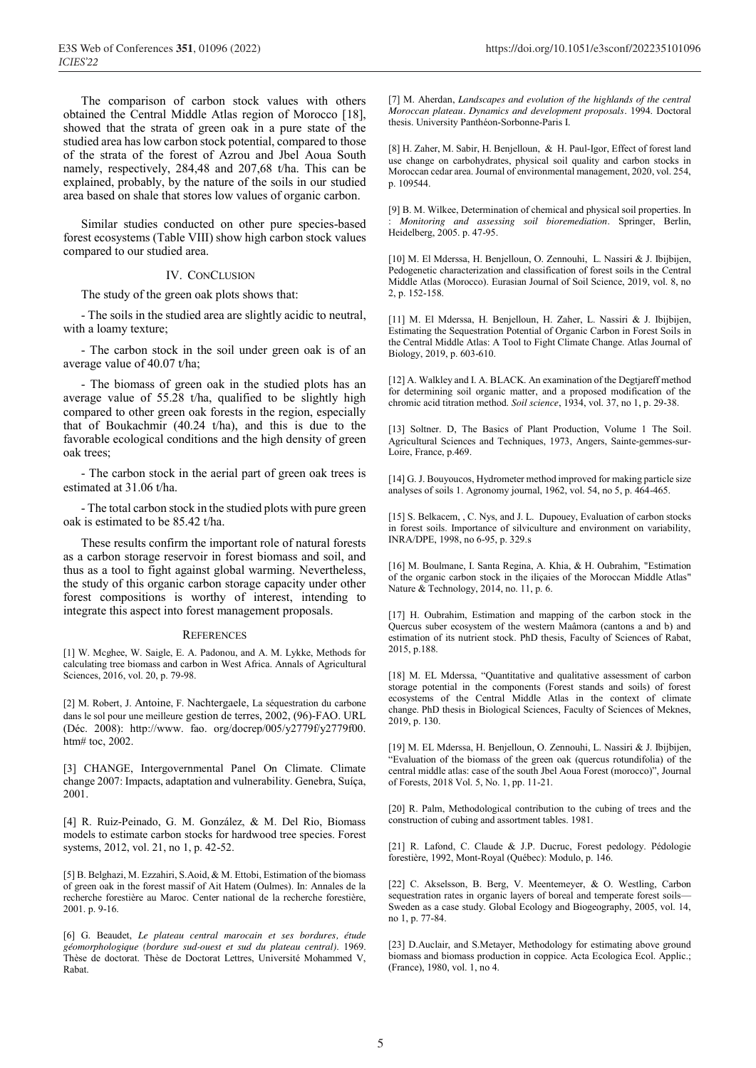The comparison of carbon stock values with others obtained the Central Middle Atlas region of Morocco [18], showed that the strata of green oak in a pure state of the studied area has low carbon stock potential, compared to those of the strata of the forest of Azrou and Jbel Aoua South namely, respectively, 284,48 and 207,68 t/ha. This can be explained, probably, by the nature of the soils in our studied area based on shale that stores low values of organic carbon.

Similar studies conducted on other pure species-based forest ecosystems (Table VIII) show high carbon stock values compared to our studied area.

### IV. CONCLUSION

The study of the green oak plots shows that:

- The soils in the studied area are slightly acidic to neutral, with a loamy texture;

- The carbon stock in the soil under green oak is of an average value of 40.07 t/ha;

- The biomass of green oak in the studied plots has an average value of 55.28 t/ha, qualified to be slightly high compared to other green oak forests in the region, especially that of Boukachmir (40.24 t/ha), and this is due to the favorable ecological conditions and the high density of green oak trees;

- The carbon stock in the aerial part of green oak trees is estimated at 31.06 t/ha.

- The total carbon stock in the studied plots with pure green oak is estimated to be 85.42 t/ha.

These results confirm the important role of natural forests as a carbon storage reservoir in forest biomass and soil, and thus as a tool to fight against global warming. Nevertheless, the study of this organic carbon storage capacity under other forest compositions is worthy of interest, intending to integrate this aspect into forest management proposals.

#### **REFERENCES**

[1] W. Mcghee, W. Saigle, E. A. Padonou, and A. M. Lykke, Methods for calculating tree biomass and carbon in West Africa. Annals of Agricultural Sciences, 2016, vol. 20, p. 79-98.

[2] M. Robert, J. Antoine, F. Nachtergaele, La séquestration du carbone dans le sol pour une meilleure gestion de terres, 2002, (96)-FAO. URL (Déc. 2008): http://www. fao. org/docrep/005/y2779f/y2779f00. htm# toc, 2002.

[3] CHANGE, Intergovernmental Panel On Climate. Climate change 2007: Impacts, adaptation and vulnerability. Genebra, Suíça, 2001.

[4] R. Ruiz-Peinado, G. M. González, & M. Del Rio, Biomass models to estimate carbon stocks for hardwood tree species. Forest systems, 2012, vol. 21, no 1, p. 42-52.

[5] B. Belghazi, M. Ezzahiri, S.Aoid, & M. Ettobi, Estimation of the biomass of green oak in the forest massif of Ait Hatem (Oulmes). In: Annales de la recherche forestière au Maroc. Center national de la recherche forestière, 2001. p. 9-16.

[6] G. Beaudet, *Le plateau central marocain et ses bordures, étude géomorphologique (bordure sud-ouest et sud du plateau central)*. 1969. Thèse de doctorat. Thèse de Doctorat Lettres, Université Mohammed V, Rabat.

[7] M. Aherdan, *Landscapes and evolution of the highlands of the central Moroccan plateau. Dynamics and development proposals.* 1994. Doctoral thesis. University Panthéon-Sorbonne-Paris I.

[8] H. Zaher, M. Sabir, H. Benjelloun, & H. Paul-Igor, Effect of forest land use change on carbohydrates, physical soil quality and carbon stocks in Moroccan cedar area. Journal of environmental management, 2020, vol. 254, p. 109544.

[9] B. M. Wilkee, Determination of chemical and physical soil properties. In : *Monitoring and assessing soil bioremediation*. Springer, Berlin, Heidelberg, 2005. p. 47-95.

[10] M. El Mderssa, H. Benjelloun, O. Zennouhi, L. Nassiri & J. Ibijbijen, Pedogenetic characterization and classification of forest soils in the Central Middle Atlas (Morocco). Eurasian Journal of Soil Science, 2019, vol. 8, no 2, p. 152-158.

[11] M. El Mderssa, H. Benjelloun, H. Zaher, L. Nassiri & J. Ibijbijen, Estimating the Sequestration Potential of Organic Carbon in Forest Soils in the Central Middle Atlas: A Tool to Fight Climate Change. Atlas Journal of Biology, 2019, p. 603-610.

[12] A. Walkley and I. A. BLACK. An examination of the Degtjareff method for determining soil organic matter, and a proposed modification of the chromic acid titration method. *Soil science*, 1934, vol. 37, no 1, p. 29-38.

[13] Soltner. D, The Basics of Plant Production, Volume 1 The Soil. Agricultural Sciences and Techniques, 1973, Angers, Sainte-gemmes-sur-Loire, France, p.469.

[14] G. J. Bouyoucos, Hydrometer method improved for making particle size analyses of soils 1. Agronomy journal, 1962, vol. 54, no 5, p. 464-465.

[15] S. Belkacem, , C. Nys, and J. L. Dupouey, Evaluation of carbon stocks in forest soils. Importance of silviculture and environment on variability, INRA/DPE, 1998, no 6-95, p. 329.s

[16] M. Boulmane, I. Santa Regina, A. Khia, & H. Oubrahim, "Estimation of the organic carbon stock in the iliçaies of the Moroccan Middle Atlas" Nature & Technology, 2014, no. 11, p. 6.

[17] H. Oubrahim, Estimation and mapping of the carbon stock in the Quercus suber ecosystem of the western Maâmora (cantons a and b) and estimation of its nutrient stock. PhD thesis, Faculty of Sciences of Rabat, 2015, p.188.

[18] M. EL Mderssa, "Quantitative and qualitative assessment of carbon storage potential in the components (Forest stands and soils) of forest ecosystems of the Central Middle Atlas in the context of climate change. PhD thesis in Biological Sciences, Faculty of Sciences of Meknes, 2019, p. 130.

[19] M. EL Mderssa, H. Benjelloun, O. Zennouhi, L. Nassiri & J. Ibijbijen, "Evaluation of the biomass of the green oak (quercus rotundifolia) of the central middle atlas: case of the south Jbel Aoua Forest (morocco)", Journal of Forests, 2018 Vol. 5, No. 1, pp. 11-21.

[20] R. Palm, Methodological contribution to the cubing of trees and the construction of cubing and assortment tables. 1981.

[21] R. Lafond, C. Claude & J.P. Ducruc, Forest pedology. Pédologie forestière, 1992, Mont-Royal (Québec): Modulo, p. 146.

[22] C. Akselsson, B. Berg, V. Meentemeyer, & O. Westling, Carbon sequestration rates in organic layers of boreal and temperate forest soils— Sweden as a case study. Global Ecology and Biogeography, 2005, vol. 14, no 1, p. 77-84.

[23] D.Auclair, and S.Metayer, Methodology for estimating above ground biomass and biomass production in coppice. Acta Ecologica Ecol. Applic.; (France), 1980, vol. 1, no 4.